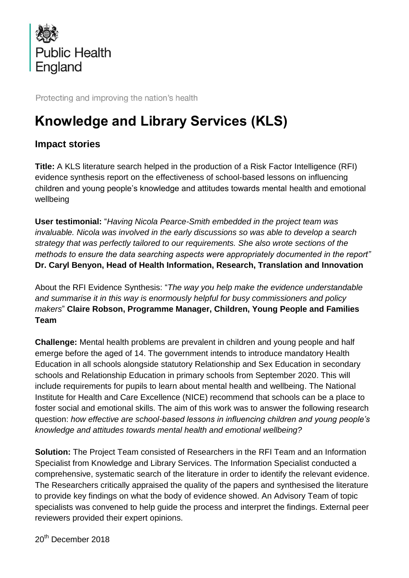

Protecting and improving the nation's health

## **Knowledge and Library Services (KLS)**

## **Impact stories**

**Title:** A KLS literature search helped in the production of a Risk Factor Intelligence (RFI) evidence synthesis report on the effectiveness of school-based lessons on influencing children and young people's knowledge and attitudes towards mental health and emotional wellbeing

**User testimonial:** "*Having Nicola Pearce-Smith embedded in the project team was invaluable. Nicola was involved in the early discussions so was able to develop a search strategy that was perfectly tailored to our requirements. She also wrote sections of the methods to ensure the data searching aspects were appropriately documented in the report"*  **Dr. Caryl Benyon, Head of Health Information, Research, Translation and Innovation**

About the RFI Evidence Synthesis: "*The way you help make the evidence understandable and summarise it in this way is enormously helpful for busy commissioners and policy makers*" **Claire Robson, Programme Manager, Children, Young People and Families Team**

**Challenge:** Mental health problems are prevalent in children and young people and half emerge before the aged of 14. The government intends to introduce mandatory Health Education in all schools alongside statutory Relationship and Sex Education in secondary schools and Relationship Education in primary schools from September 2020. This will include requirements for pupils to learn about mental health and wellbeing. The National Institute for Health and Care Excellence (NICE) recommend that schools can be a place to foster social and emotional skills. The aim of this work was to answer the following research question: *how effective are school-based lessons in influencing children and young people's knowledge and attitudes towards mental health and emotional wellbeing?* 

**Solution:** The Project Team consisted of Researchers in the RFI Team and an Information Specialist from Knowledge and Library Services. The Information Specialist conducted a comprehensive, systematic search of the literature in order to identify the relevant evidence. The Researchers critically appraised the quality of the papers and synthesised the literature to provide key findings on what the body of evidence showed. An Advisory Team of topic specialists was convened to help guide the process and interpret the findings. External peer reviewers provided their expert opinions.